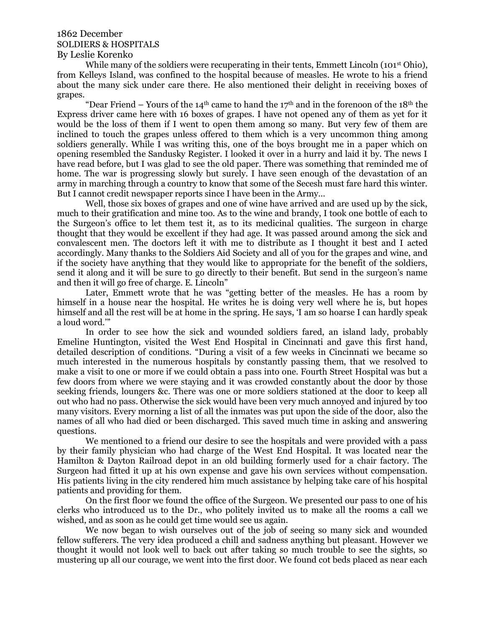## 1862 December SOLDIERS & HOSPITALS By Leslie Korenko

While many of the soldiers were recuperating in their tents, Emmett Lincoln (101<sup>st</sup> Ohio), from Kelleys Island, was confined to the hospital because of measles. He wrote to his a friend about the many sick under care there. He also mentioned their delight in receiving boxes of grapes.

"Dear Friend – Yours of the 14<sup>th</sup> came to hand the 17<sup>th</sup> and in the forenoon of the 18<sup>th</sup> the Express driver came here with 16 boxes of grapes. I have not opened any of them as yet for it would be the loss of them if I went to open them among so many. But very few of them are inclined to touch the grapes unless offered to them which is a very uncommon thing among soldiers generally. While I was writing this, one of the boys brought me in a paper which on opening resembled the Sandusky Register. I looked it over in a hurry and laid it by. The news I have read before, but I was glad to see the old paper. There was something that reminded me of home. The war is progressing slowly but surely. I have seen enough of the devastation of an army in marching through a country to know that some of the Secesh must fare hard this winter. But I cannot credit newspaper reports since I have been in the Army…

Well, those six boxes of grapes and one of wine have arrived and are used up by the sick, much to their gratification and mine too. As to the wine and brandy, I took one bottle of each to the Surgeon's office to let them test it, as to its medicinal qualities. The surgeon in charge thought that they would be excellent if they had age. It was passed around among the sick and convalescent men. The doctors left it with me to distribute as I thought it best and I acted accordingly. Many thanks to the Soldiers Aid Society and all of you for the grapes and wine, and if the society have anything that they would like to appropriate for the benefit of the soldiers, send it along and it will be sure to go directly to their benefit. But send in the surgeon's name and then it will go free of charge. E. Lincoln"

Later, Emmett wrote that he was "getting better of the measles. He has a room by himself in a house near the hospital. He writes he is doing very well where he is, but hopes himself and all the rest will be at home in the spring. He says, 'I am so hoarse I can hardly speak a loud word.'"

In order to see how the sick and wounded soldiers fared, an island lady, probably Emeline Huntington, visited the West End Hospital in Cincinnati and gave this first hand, detailed description of conditions. "During a visit of a few weeks in Cincinnati we became so much interested in the numerous hospitals by constantly passing them, that we resolved to make a visit to one or more if we could obtain a pass into one. Fourth Street Hospital was but a few doors from where we were staying and it was crowded constantly about the door by those seeking friends, loungers &c. There was one or more soldiers stationed at the door to keep all out who had no pass. Otherwise the sick would have been very much annoyed and injured by too many visitors. Every morning a list of all the inmates was put upon the side of the door, also the names of all who had died or been discharged. This saved much time in asking and answering questions.

We mentioned to a friend our desire to see the hospitals and were provided with a pass by their family physician who had charge of the West End Hospital. It was located near the Hamilton & Dayton Railroad depot in an old building formerly used for a chair factory. The Surgeon had fitted it up at his own expense and gave his own services without compensation. His patients living in the city rendered him much assistance by helping take care of his hospital patients and providing for them.

On the first floor we found the office of the Surgeon. We presented our pass to one of his clerks who introduced us to the Dr., who politely invited us to make all the rooms a call we wished, and as soon as he could get time would see us again.

We now began to wish ourselves out of the job of seeing so many sick and wounded fellow sufferers. The very idea produced a chill and sadness anything but pleasant. However we thought it would not look well to back out after taking so much trouble to see the sights, so mustering up all our courage, we went into the first door. We found cot beds placed as near each